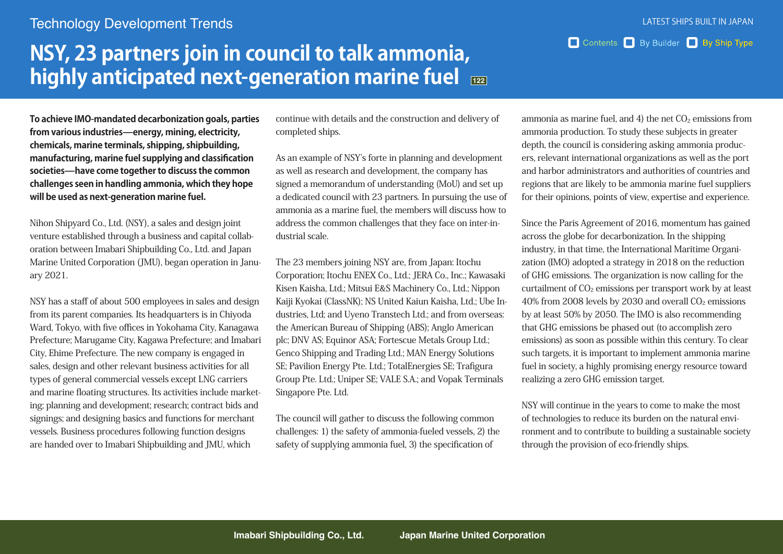## **NSY, 23 partners join in council to talk ammonia, highly anticipated next-generation marine fuel**  $\frac{1}{122}$

**To achieve IMO-mandated decarbonization goals, parties** from various industries—energy, mining, electricity, chemicals, marine terminals, shipping, shipbuilding, **manufacturing, marine fuel supplying and classification** societies—have come together to discuss the common challenges seen in handling ammonia, which they hope will be used as next-generation marine fuel.

Nihon Shipyard Co., Ltd. (NSY), a sales and design joint oration between Imabari Shipbuilding Co., Ltd. and Japan venture established through a business and capital collab-Marine United Corporation (JMU), began operation in Janu-<br>ary 2021.

NSY has a staff of about 500 employees in sales and design from its parent companies. Its headquarters is in Chiyoda Ward, Tokyo, with five offices in Yokohama City, Kanagawa Prefecture; Marugame City, Kagawa Prefecture; and Imabari City, Ehime Prefecture. The new company is engaged in sales, design and other relevant business activities for all types of general commercial vessels except LNG carriers ing; planning and development; research; contract bids and and marine floating structures. Its activities include marketsignings; and designing basics and functions for merchant vessels. Business procedures following function designs are handed over to Imabari Shipbuilding and JMU, which

continue with details and the construction and delivery of completed ships.

As an example of NSY's forte in planning and development as well as research and development, the company has signed a memorandum of understanding (MoU) and set up a dedicated council with 23 partners. In pursuing the use of ammonia as a marine fuel, the members will discuss how to address the common challenges that they face on inter-in-<br>dustrial scale.

The 23 members joining NSY are, from Japan: Itochu Corporation; Itochu ENEX Co., Ltd .; JERA Co., Inc .; Kawasaki Kisen Kaisha, Ltd.; Mitsui E&S Machinery Co., Ltd.; Nippon dustries, Ltd; and Uyeno Transtech Ltd .; and from overseas: Kaiji Kyokai (ClassNK); NS United Kaiun Kaisha, Ltd.; Ube Inthe American Bureau of Shipping (ABS); Anglo American plc; DNV AS; Equinor ASA; Fortescue Metals Group Ltd.; Genco Shipping and Trading Ltd.; MAN Energy Solutions SE; Pavilion Energy Pte. Ltd.: TotalEnergies SE; Trafigura Group Pte. Ltd.; Uniper SE; VALE S.A.; and Vopak Terminals Singapore Pte. Ltd.

The council will gather to discuss the following common challenges: 1) the safety of ammonia-fueled vessels. 2) the safety of supplying ammonia fuel, 3) the specification of

ammonia as marine fuel, and 4) the net  $CO<sub>2</sub>$  emissions from ammonia production. To study these subjects in greater ers, relevant international organizations as well as the port depth, the council is considering asking ammonia producand harbor administrators and authorities of countries and regions that are likely to be ammonia marine fuel suppliers for their opinions, points of view, expertise and experience.

Since the Paris Agreement of 2016, momentum has gained across the globe for decarbonization. In the shipping zation (IMO) adopted a strategy in 2018 on the reduction industry, in that time, the International Maritime Organiof GHG emissions. The organization is now calling for the curtailment of  $CO<sub>2</sub>$  emissions per transport work by at least 40% from 2008 levels by 2030 and overall  $CO<sub>2</sub>$  emissions by at least 50% by 2050. The IMO is also recommending that GHG emissions be phased out (to accomplish zero emissions) as soon as possible within this century. To clear such targets, it is important to implement ammonia marine fuel in society, a highly promising energy resource toward realizing a zero GHG emission target.

NSY will continue in the years to come to make the most ronment and to contribute to building a sustainable society of technologies to reduce its burden on the natural envithrough the provision of eco-friendly ships.

Contents By Builder By Ship Type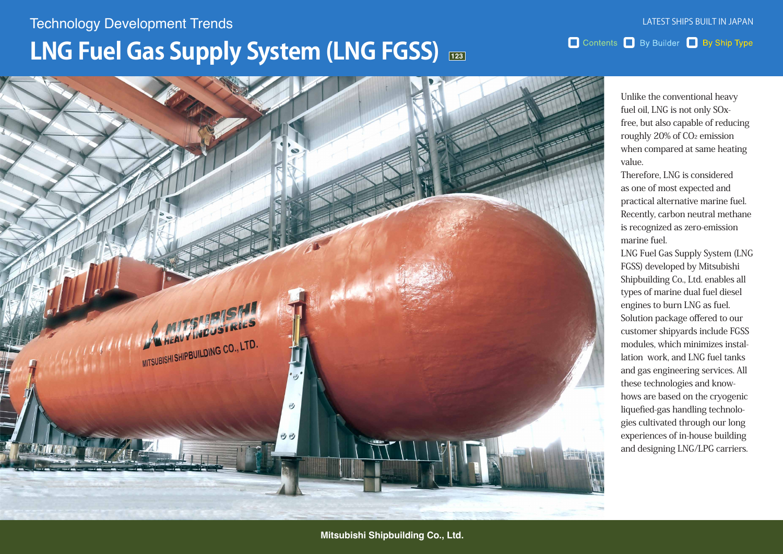### **Technology Development Trends**

# LNG Fuel Gas Supply System (LNG FGSS) **123**



LATEST SHIPS BUILT IN JAPAN

Contents By Builder By Ship Type

Unlike the conventional heavy free, but also capable of reducing fuel oil, LNG is not only SOxroughly 20% of CO<sub>2</sub> emission when compared at same heating .value

Therefore, LNG is considered as one of most expected and practical alternative marine fuel. Recently, carbon neutral methane is recognized as zero-emission marine fuel.

LNG Fuel Gas Supply System (LNG FGSS) developed by Mitsubishi Shipbuilding Co., Ltd. enables all types of marine dual fuel diesel engines to burn LNG as fuel. Solution package offered to our customer shipyards include FGSS lation work, and LNG fuel tanks modules, which minimizes instaland gas engineering services. All hows are based on the cryogenic these technologies and knowgies cultivated through our long liquefied-gas handling technoloexperiences of in-house building and designing LNG/LPG carriers.

**Mitsubishi Shipbuilding Co., Ltd.**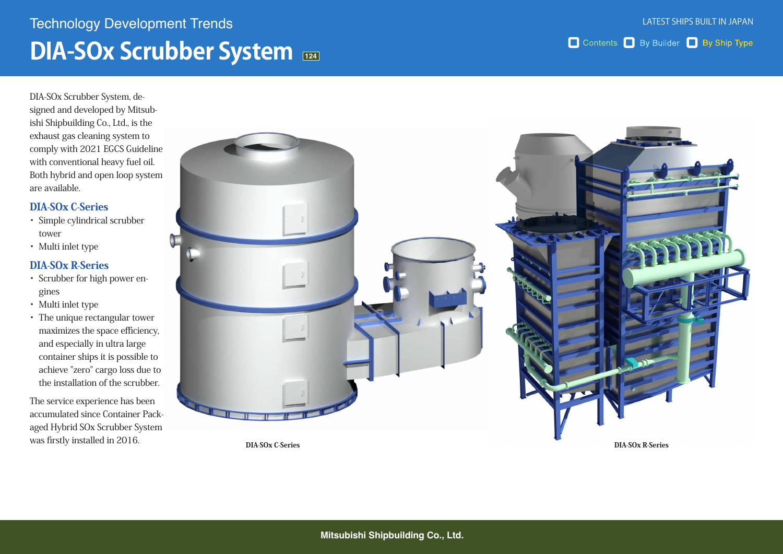# **DIA-SOx Scrubber System** Technology Development Trends

#### Contents By Builder By Ship Type

ishi Shipbuilding Co., Ltd., is the signed and developed by Mitsub-DIA-SOx Scrubber System, deexhaust gas cleaning system to comply with 2021 EGCS Guideline with conventional heavy fuel oil. Both hybrid and open loop system are available

#### DIA-SOx C-Series

- Simple cylindrical scrubber tower
- Multi inlet type

#### DIA-SOx-R-Series

- Scrubber for high power engines
- Multi inlet type
- The unique rectangular tower maximizes the space efficiency, and especially in ultra large container ships it is possible to achieve "zero" cargo loss due to the installation of the scrubber.

The service experience has been aged Hybrid SOx Scrubber System accumulated since Container Packwas firstly installed in 2016. IDIA-SOx-C-Series DIA-SOx-C-Series DIA-SOx-R-Series